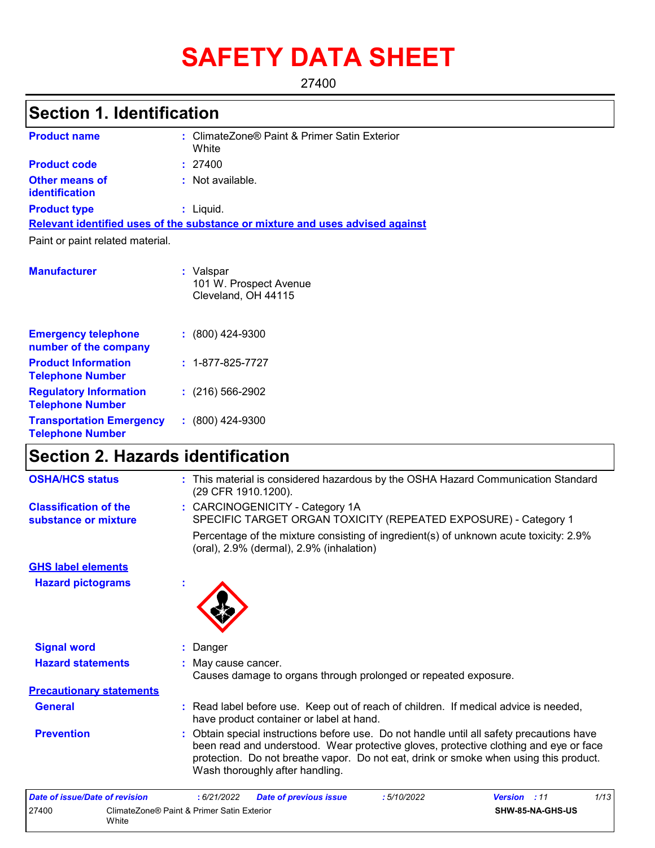# **SAFETY DATA SHEET**

27400

## **Section 1. Identification**

| <b>Product name</b>                     | : ClimateZone® Paint & Primer Satin Exterior<br>White                         |
|-----------------------------------------|-------------------------------------------------------------------------------|
| <b>Product code</b>                     | : 27400                                                                       |
| Other means of<br><b>identification</b> | $:$ Not available.                                                            |
| <b>Product type</b>                     | $:$ Liquid.                                                                   |
|                                         | Relevant identified uses of the substance or mixture and uses advised against |
| Paint or paint related material.        |                                                                               |
| <b>Manufacturer</b>                     | : Valspar<br>101 W. Prospect Avenue<br>Cleveland, OH 44115                    |

| <b>Emergency telephone</b><br>number of the company        | $: (800)$ 424-9300       |
|------------------------------------------------------------|--------------------------|
| <b>Product Information</b><br><b>Telephone Number</b>      | $: 1 - 877 - 825 - 7727$ |
| <b>Regulatory Information</b><br><b>Telephone Number</b>   | $: (216) 566-2902$       |
| <b>Transportation Emergency</b><br><b>Telephone Number</b> | $: (800)$ 424-9300       |

## **Section 2. Hazards identification**

| <b>OSHA/HCS status</b>                               | : This material is considered hazardous by the OSHA Hazard Communication Standard<br>(29 CFR 1910.1200).                                                                                                                                                                                                       |
|------------------------------------------------------|----------------------------------------------------------------------------------------------------------------------------------------------------------------------------------------------------------------------------------------------------------------------------------------------------------------|
| <b>Classification of the</b><br>substance or mixture | : CARCINOGENICITY - Category 1A<br>SPECIFIC TARGET ORGAN TOXICITY (REPEATED EXPOSURE) - Category 1                                                                                                                                                                                                             |
|                                                      | Percentage of the mixture consisting of ingredient(s) of unknown acute toxicity: 2.9%<br>(oral), 2.9% (dermal), 2.9% (inhalation)                                                                                                                                                                              |
| <b>GHS label elements</b>                            |                                                                                                                                                                                                                                                                                                                |
| <b>Hazard pictograms</b>                             | ×                                                                                                                                                                                                                                                                                                              |
|                                                      |                                                                                                                                                                                                                                                                                                                |
| <b>Signal word</b>                                   | : Danger                                                                                                                                                                                                                                                                                                       |
| <b>Hazard statements</b>                             | May cause cancer.<br>Causes damage to organs through prolonged or repeated exposure.                                                                                                                                                                                                                           |
| <b>Precautionary statements</b>                      |                                                                                                                                                                                                                                                                                                                |
| <b>General</b>                                       | : Read label before use. Keep out of reach of children. If medical advice is needed,<br>have product container or label at hand.                                                                                                                                                                               |
| <b>Prevention</b>                                    | : Obtain special instructions before use. Do not handle until all safety precautions have<br>been read and understood. Wear protective gloves, protective clothing and eye or face<br>protection. Do not breathe vapor. Do not eat, drink or smoke when using this product.<br>Wash thoroughly after handling. |

| Date of issue/Date of revision |                                                     | : 6/21/2022 | <b>Date of previous issue</b> | : 5/10/2022 | <b>Version</b> : 11 |                         | 1/13 |
|--------------------------------|-----------------------------------------------------|-------------|-------------------------------|-------------|---------------------|-------------------------|------|
| 27400                          | ClimateZone® Paint & Primer Satin Exterior<br>White |             |                               |             |                     | <b>SHW-85-NA-GHS-US</b> |      |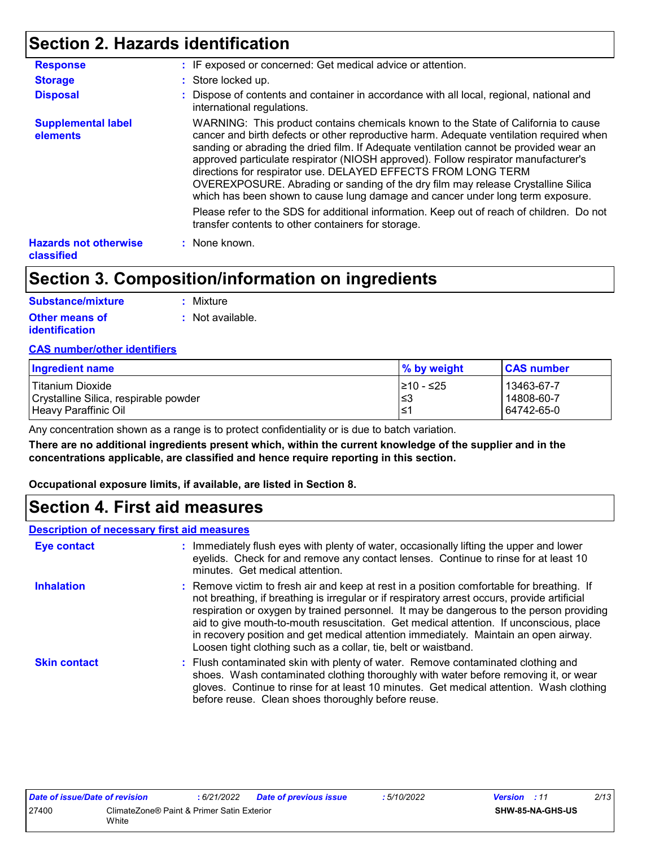## **Section 2. Hazards identification**

| <b>Response</b>                            | : IF exposed or concerned: Get medical advice or attention.                                                                                                                                                                                                                                                                                                                                                                                                                                                                                                                                          |
|--------------------------------------------|------------------------------------------------------------------------------------------------------------------------------------------------------------------------------------------------------------------------------------------------------------------------------------------------------------------------------------------------------------------------------------------------------------------------------------------------------------------------------------------------------------------------------------------------------------------------------------------------------|
| <b>Storage</b>                             | : Store locked up.                                                                                                                                                                                                                                                                                                                                                                                                                                                                                                                                                                                   |
| <b>Disposal</b>                            | : Dispose of contents and container in accordance with all local, regional, national and<br>international regulations.                                                                                                                                                                                                                                                                                                                                                                                                                                                                               |
| <b>Supplemental label</b><br>elements      | WARNING: This product contains chemicals known to the State of California to cause<br>cancer and birth defects or other reproductive harm. Adequate ventilation required when<br>sanding or abrading the dried film. If Adequate ventilation cannot be provided wear an<br>approved particulate respirator (NIOSH approved). Follow respirator manufacturer's<br>directions for respirator use. DELAYED EFFECTS FROM LONG TERM<br>OVEREXPOSURE. Abrading or sanding of the dry film may release Crystalline Silica<br>which has been shown to cause lung damage and cancer under long term exposure. |
|                                            | Please refer to the SDS for additional information. Keep out of reach of children. Do not<br>transfer contents to other containers for storage.                                                                                                                                                                                                                                                                                                                                                                                                                                                      |
| <b>Hazards not otherwise</b><br>classified | : None known.                                                                                                                                                                                                                                                                                                                                                                                                                                                                                                                                                                                        |

## **Section 3. Composition/information on ingredients**

| <b>Substance/mixture</b> | : Mixture        |
|--------------------------|------------------|
| <b>Other means of</b>    | : Not available. |
| identification           |                  |

#### **CAS number/other identifiers**

| Ingredient name                       | $\%$ by weight | <b>CAS number</b> |
|---------------------------------------|----------------|-------------------|
| Titanium Dioxide                      | I≥10 - ≤25     | 13463-67-7        |
| Crystalline Silica, respirable powder | 3≥ا            | 14808-60-7        |
| Heavy Paraffinic Oil                  | ∣≤1            | 64742-65-0        |

Any concentration shown as a range is to protect confidentiality or is due to batch variation.

**There are no additional ingredients present which, within the current knowledge of the supplier and in the concentrations applicable, are classified and hence require reporting in this section.**

**Occupational exposure limits, if available, are listed in Section 8.**

### **Section 4. First aid measures**

#### **Description of necessary first aid measures**

| Eye contact         | : Immediately flush eyes with plenty of water, occasionally lifting the upper and lower<br>eyelids. Check for and remove any contact lenses. Continue to rinse for at least 10<br>minutes. Get medical attention.                                                                                                                                                                                                                                                                                                                         |
|---------------------|-------------------------------------------------------------------------------------------------------------------------------------------------------------------------------------------------------------------------------------------------------------------------------------------------------------------------------------------------------------------------------------------------------------------------------------------------------------------------------------------------------------------------------------------|
| <b>Inhalation</b>   | : Remove victim to fresh air and keep at rest in a position comfortable for breathing. If<br>not breathing, if breathing is irregular or if respiratory arrest occurs, provide artificial<br>respiration or oxygen by trained personnel. It may be dangerous to the person providing<br>aid to give mouth-to-mouth resuscitation. Get medical attention. If unconscious, place<br>in recovery position and get medical attention immediately. Maintain an open airway.<br>Loosen tight clothing such as a collar, tie, belt or waistband. |
| <b>Skin contact</b> | : Flush contaminated skin with plenty of water. Remove contaminated clothing and<br>shoes. Wash contaminated clothing thoroughly with water before removing it, or wear<br>gloves. Continue to rinse for at least 10 minutes. Get medical attention. Wash clothing<br>before reuse. Clean shoes thoroughly before reuse.                                                                                                                                                                                                                  |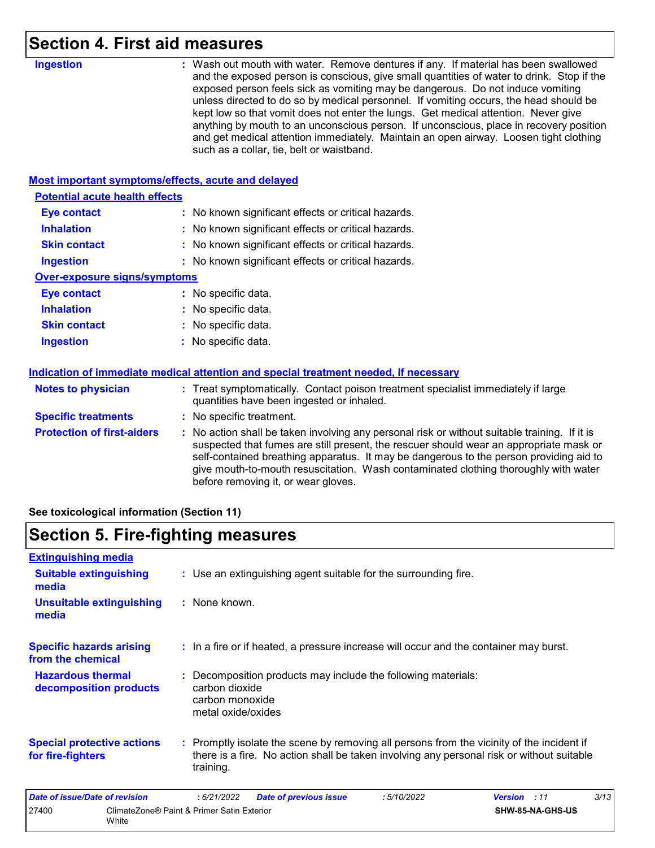## **Section 4. First aid measures**

| <b>Ingestion</b>                                   | : Wash out mouth with water. Remove dentures if any. If material has been swallowed<br>and the exposed person is conscious, give small quantities of water to drink. Stop if the<br>exposed person feels sick as vomiting may be dangerous. Do not induce vomiting<br>unless directed to do so by medical personnel. If vomiting occurs, the head should be<br>kept low so that vomit does not enter the lungs. Get medical attention. Never give<br>anything by mouth to an unconscious person. If unconscious, place in recovery position<br>and get medical attention immediately. Maintain an open airway. Loosen tight clothing<br>such as a collar, tie, belt or waistband. |  |  |  |  |
|----------------------------------------------------|-----------------------------------------------------------------------------------------------------------------------------------------------------------------------------------------------------------------------------------------------------------------------------------------------------------------------------------------------------------------------------------------------------------------------------------------------------------------------------------------------------------------------------------------------------------------------------------------------------------------------------------------------------------------------------------|--|--|--|--|
| Most important symptoms/effects, acute and delayed |                                                                                                                                                                                                                                                                                                                                                                                                                                                                                                                                                                                                                                                                                   |  |  |  |  |
| <b>Potential acute health effects</b>              |                                                                                                                                                                                                                                                                                                                                                                                                                                                                                                                                                                                                                                                                                   |  |  |  |  |
| <b>Eye contact</b>                                 | : No known significant effects or critical hazards.                                                                                                                                                                                                                                                                                                                                                                                                                                                                                                                                                                                                                               |  |  |  |  |
| <b>Inhalation</b>                                  | : No known significant effects or critical hazards.                                                                                                                                                                                                                                                                                                                                                                                                                                                                                                                                                                                                                               |  |  |  |  |
| <b>Skin contact</b>                                | No known significant effects or critical hazards.                                                                                                                                                                                                                                                                                                                                                                                                                                                                                                                                                                                                                                 |  |  |  |  |
| <b>Ingestion</b>                                   | : No known significant effects or critical hazards.                                                                                                                                                                                                                                                                                                                                                                                                                                                                                                                                                                                                                               |  |  |  |  |
| <b>Over-exposure signs/symptoms</b>                |                                                                                                                                                                                                                                                                                                                                                                                                                                                                                                                                                                                                                                                                                   |  |  |  |  |
| <b>Eye contact</b>                                 | : No specific data.                                                                                                                                                                                                                                                                                                                                                                                                                                                                                                                                                                                                                                                               |  |  |  |  |
| <b>Inhalation</b>                                  | : No specific data.                                                                                                                                                                                                                                                                                                                                                                                                                                                                                                                                                                                                                                                               |  |  |  |  |
| <b>Skin contact</b>                                | No specific data.                                                                                                                                                                                                                                                                                                                                                                                                                                                                                                                                                                                                                                                                 |  |  |  |  |
| <b>Ingestion</b>                                   | : No specific data.                                                                                                                                                                                                                                                                                                                                                                                                                                                                                                                                                                                                                                                               |  |  |  |  |
|                                                    | Indication of immediate medical attention and special treatment needed, if necessary                                                                                                                                                                                                                                                                                                                                                                                                                                                                                                                                                                                              |  |  |  |  |
| <b>Notes to physician</b>                          | : Treat symptomatically. Contact poison treatment specialist immediately if large<br>quantities have been ingested or inhaled.                                                                                                                                                                                                                                                                                                                                                                                                                                                                                                                                                    |  |  |  |  |
| <b>Specific treatments</b>                         | : No specific treatment.                                                                                                                                                                                                                                                                                                                                                                                                                                                                                                                                                                                                                                                          |  |  |  |  |
| <b>Protection of first-aiders</b>                  | : No action shall be taken involving any personal risk or without suitable training. If it is<br>suspected that fumes are still present, the rescuer should wear an appropriate mask or<br>self-contained breathing apparatus. It may be dangerous to the person providing aid to<br>give mouth-to-mouth resuscitation. Wash contaminated clothing thoroughly with water<br>before removing it, or wear gloves.                                                                                                                                                                                                                                                                   |  |  |  |  |

**See toxicological information (Section 11)**

## **Section 5. Fire-fighting measures**

| <b>Extinguishing media</b>                             |                                                     |                                                         |                                                                                       |            |                                                                                                                                                                                        |      |
|--------------------------------------------------------|-----------------------------------------------------|---------------------------------------------------------|---------------------------------------------------------------------------------------|------------|----------------------------------------------------------------------------------------------------------------------------------------------------------------------------------------|------|
| <b>Suitable extinguishing</b><br>media                 |                                                     |                                                         | : Use an extinguishing agent suitable for the surrounding fire.                       |            |                                                                                                                                                                                        |      |
| <b>Unsuitable extinguishing</b><br>media               |                                                     | : None known.                                           |                                                                                       |            |                                                                                                                                                                                        |      |
| <b>Specific hazards arising</b><br>from the chemical   |                                                     |                                                         | : In a fire or if heated, a pressure increase will occur and the container may burst. |            |                                                                                                                                                                                        |      |
| <b>Hazardous thermal</b><br>decomposition products     |                                                     | carbon dioxide<br>carbon monoxide<br>metal oxide/oxides | : Decomposition products may include the following materials:                         |            |                                                                                                                                                                                        |      |
| <b>Special protective actions</b><br>for fire-fighters |                                                     | training.                                               |                                                                                       |            | : Promptly isolate the scene by removing all persons from the vicinity of the incident if<br>there is a fire. No action shall be taken involving any personal risk or without suitable |      |
| Date of issue/Date of revision                         |                                                     | :6/21/2022                                              | <b>Date of previous issue</b>                                                         | :5/10/2022 | <b>Version</b> : 11                                                                                                                                                                    | 3/13 |
| 27400                                                  | ClimateZone® Paint & Primer Satin Exterior<br>White |                                                         |                                                                                       |            | SHW-85-NA-GHS-US                                                                                                                                                                       |      |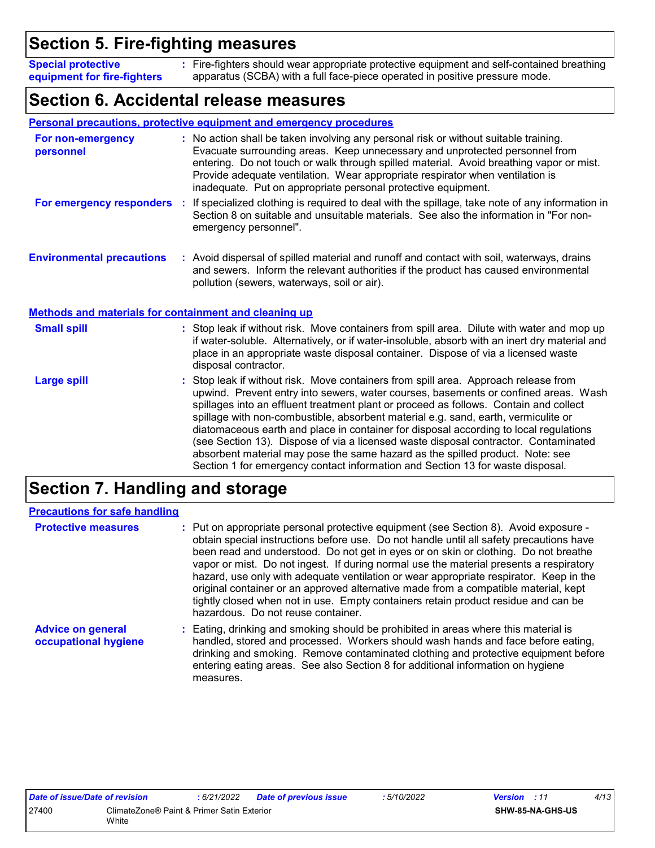## **Section 5. Fire-fighting measures**

Fire-fighters should wear appropriate protective equipment and self-contained breathing **:** apparatus (SCBA) with a full face-piece operated in positive pressure mode. **Special protective equipment for fire-fighters**

## **Section 6. Accidental release measures**

|                                                              | Personal precautions, protective equipment and emergency procedures                                                                                                                                                                                                                                                                                                                                                                                                                                                                                                                                                                                                                                        |
|--------------------------------------------------------------|------------------------------------------------------------------------------------------------------------------------------------------------------------------------------------------------------------------------------------------------------------------------------------------------------------------------------------------------------------------------------------------------------------------------------------------------------------------------------------------------------------------------------------------------------------------------------------------------------------------------------------------------------------------------------------------------------------|
| For non-emergency<br>personnel                               | : No action shall be taken involving any personal risk or without suitable training.<br>Evacuate surrounding areas. Keep unnecessary and unprotected personnel from<br>entering. Do not touch or walk through spilled material. Avoid breathing vapor or mist.<br>Provide adequate ventilation. Wear appropriate respirator when ventilation is<br>inadequate. Put on appropriate personal protective equipment.                                                                                                                                                                                                                                                                                           |
| For emergency responders                                     | If specialized clothing is required to deal with the spillage, take note of any information in<br>÷.<br>Section 8 on suitable and unsuitable materials. See also the information in "For non-<br>emergency personnel".                                                                                                                                                                                                                                                                                                                                                                                                                                                                                     |
| <b>Environmental precautions</b>                             | : Avoid dispersal of spilled material and runoff and contact with soil, waterways, drains<br>and sewers. Inform the relevant authorities if the product has caused environmental<br>pollution (sewers, waterways, soil or air).                                                                                                                                                                                                                                                                                                                                                                                                                                                                            |
| <b>Methods and materials for containment and cleaning up</b> |                                                                                                                                                                                                                                                                                                                                                                                                                                                                                                                                                                                                                                                                                                            |
| <b>Small spill</b>                                           | : Stop leak if without risk. Move containers from spill area. Dilute with water and mop up<br>if water-soluble. Alternatively, or if water-insoluble, absorb with an inert dry material and<br>place in an appropriate waste disposal container. Dispose of via a licensed waste<br>disposal contractor.                                                                                                                                                                                                                                                                                                                                                                                                   |
| <b>Large spill</b>                                           | Stop leak if without risk. Move containers from spill area. Approach release from<br>upwind. Prevent entry into sewers, water courses, basements or confined areas. Wash<br>spillages into an effluent treatment plant or proceed as follows. Contain and collect<br>spillage with non-combustible, absorbent material e.g. sand, earth, vermiculite or<br>diatomaceous earth and place in container for disposal according to local regulations<br>(see Section 13). Dispose of via a licensed waste disposal contractor. Contaminated<br>absorbent material may pose the same hazard as the spilled product. Note: see<br>Section 1 for emergency contact information and Section 13 for waste disposal. |

## **Section 7. Handling and storage**

| <b>Precautions for safe handling</b>             |                                                                                                                                                                                                                                                                                                                                                                                                                                                                                                                                                                                                                                                                               |
|--------------------------------------------------|-------------------------------------------------------------------------------------------------------------------------------------------------------------------------------------------------------------------------------------------------------------------------------------------------------------------------------------------------------------------------------------------------------------------------------------------------------------------------------------------------------------------------------------------------------------------------------------------------------------------------------------------------------------------------------|
| <b>Protective measures</b>                       | : Put on appropriate personal protective equipment (see Section 8). Avoid exposure -<br>obtain special instructions before use. Do not handle until all safety precautions have<br>been read and understood. Do not get in eyes or on skin or clothing. Do not breathe<br>vapor or mist. Do not ingest. If during normal use the material presents a respiratory<br>hazard, use only with adequate ventilation or wear appropriate respirator. Keep in the<br>original container or an approved alternative made from a compatible material, kept<br>tightly closed when not in use. Empty containers retain product residue and can be<br>hazardous. Do not reuse container. |
| <b>Advice on general</b><br>occupational hygiene | : Eating, drinking and smoking should be prohibited in areas where this material is<br>handled, stored and processed. Workers should wash hands and face before eating,<br>drinking and smoking. Remove contaminated clothing and protective equipment before<br>entering eating areas. See also Section 8 for additional information on hygiene<br>measures.                                                                                                                                                                                                                                                                                                                 |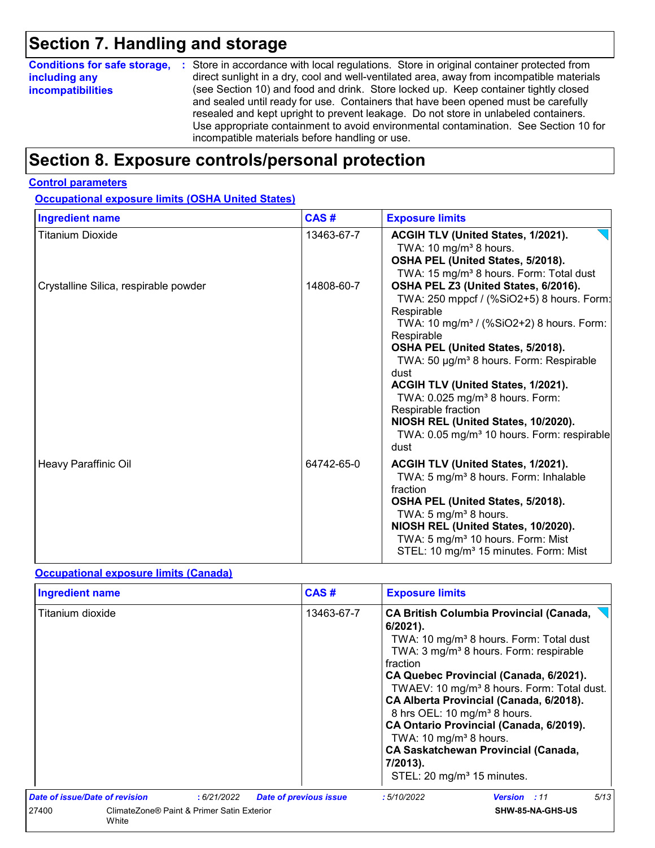## **Section 7. Handling and storage**

|                          | <b>Conditions for safe storage, :</b> Store in accordance with local regulations. Store in original container protected from                                                                                                                                                                                                                                                                               |
|--------------------------|------------------------------------------------------------------------------------------------------------------------------------------------------------------------------------------------------------------------------------------------------------------------------------------------------------------------------------------------------------------------------------------------------------|
| including any            | direct sunlight in a dry, cool and well-ventilated area, away from incompatible materials                                                                                                                                                                                                                                                                                                                  |
| <b>incompatibilities</b> | (see Section 10) and food and drink. Store locked up. Keep container tightly closed<br>and sealed until ready for use. Containers that have been opened must be carefully<br>resealed and kept upright to prevent leakage. Do not store in unlabeled containers.<br>Use appropriate containment to avoid environmental contamination. See Section 10 for<br>incompatible materials before handling or use. |

## **Section 8. Exposure controls/personal protection**

#### **Control parameters**

**Occupational exposure limits (OSHA United States)**

| <b>Ingredient name</b>                | CAS#       | <b>Exposure limits</b>                                                                                                                                                                                                                                                                                                                                                                                                                                                                         |
|---------------------------------------|------------|------------------------------------------------------------------------------------------------------------------------------------------------------------------------------------------------------------------------------------------------------------------------------------------------------------------------------------------------------------------------------------------------------------------------------------------------------------------------------------------------|
| <b>Titanium Dioxide</b>               | 13463-67-7 | ACGIH TLV (United States, 1/2021).<br>TWA: 10 mg/m <sup>3</sup> 8 hours.<br>OSHA PEL (United States, 5/2018).<br>TWA: 15 mg/m <sup>3</sup> 8 hours. Form: Total dust                                                                                                                                                                                                                                                                                                                           |
| Crystalline Silica, respirable powder | 14808-60-7 | OSHA PEL Z3 (United States, 6/2016).<br>TWA: 250 mppcf / (%SiO2+5) 8 hours. Form:<br>Respirable<br>TWA: 10 mg/m <sup>3</sup> / (%SiO2+2) 8 hours. Form:<br>Respirable<br>OSHA PEL (United States, 5/2018).<br>TWA: 50 µg/m <sup>3</sup> 8 hours. Form: Respirable<br>dust<br>ACGIH TLV (United States, 1/2021).<br>TWA: 0.025 mg/m <sup>3</sup> 8 hours. Form:<br>Respirable fraction<br>NIOSH REL (United States, 10/2020).<br>TWA: 0.05 mg/m <sup>3</sup> 10 hours. Form: respirable<br>dust |
| Heavy Paraffinic Oil                  | 64742-65-0 | ACGIH TLV (United States, 1/2021).<br>TWA: 5 mg/m <sup>3</sup> 8 hours. Form: Inhalable<br>fraction<br>OSHA PEL (United States, 5/2018).<br>TWA: 5 mg/m <sup>3</sup> 8 hours.<br>NIOSH REL (United States, 10/2020).<br>TWA: 5 mg/m <sup>3</sup> 10 hours. Form: Mist<br>STEL: 10 mg/m <sup>3</sup> 15 minutes. Form: Mist                                                                                                                                                                     |

#### **Occupational exposure limits (Canada)**

| <b>Ingredient name</b>         |                                            | CAS#                          | <b>Exposure limits</b>                                                                                                                                                                                                                                                                                                                                                                                                                                                                                                                                                 |                     |      |  |  |  |  |
|--------------------------------|--------------------------------------------|-------------------------------|------------------------------------------------------------------------------------------------------------------------------------------------------------------------------------------------------------------------------------------------------------------------------------------------------------------------------------------------------------------------------------------------------------------------------------------------------------------------------------------------------------------------------------------------------------------------|---------------------|------|--|--|--|--|
| Titanium dioxide               |                                            | 13463-67-7                    | <b>CA British Columbia Provincial (Canada,</b><br>$6/2021$ ).<br>TWA: 10 mg/m <sup>3</sup> 8 hours. Form: Total dust<br>TWA: 3 mg/m <sup>3</sup> 8 hours. Form: respirable<br>fraction<br>CA Quebec Provincial (Canada, 6/2021).<br>TWAEV: 10 mg/m <sup>3</sup> 8 hours. Form: Total dust.<br>CA Alberta Provincial (Canada, 6/2018).<br>8 hrs OEL: 10 mg/m <sup>3</sup> 8 hours.<br>CA Ontario Provincial (Canada, 6/2019).<br>TWA: 10 mg/m <sup>3</sup> 8 hours.<br><b>CA Saskatchewan Provincial (Canada,</b><br>7/2013).<br>STEL: 20 mg/m <sup>3</sup> 15 minutes. |                     |      |  |  |  |  |
| Date of issue/Date of revision | :6/21/2022                                 | <b>Date of previous issue</b> | : 5/10/2022                                                                                                                                                                                                                                                                                                                                                                                                                                                                                                                                                            | <b>Version</b> : 11 | 5/13 |  |  |  |  |
| 27400<br>White                 | ClimateZone® Paint & Primer Satin Exterior |                               |                                                                                                                                                                                                                                                                                                                                                                                                                                                                                                                                                                        | SHW-85-NA-GHS-US    |      |  |  |  |  |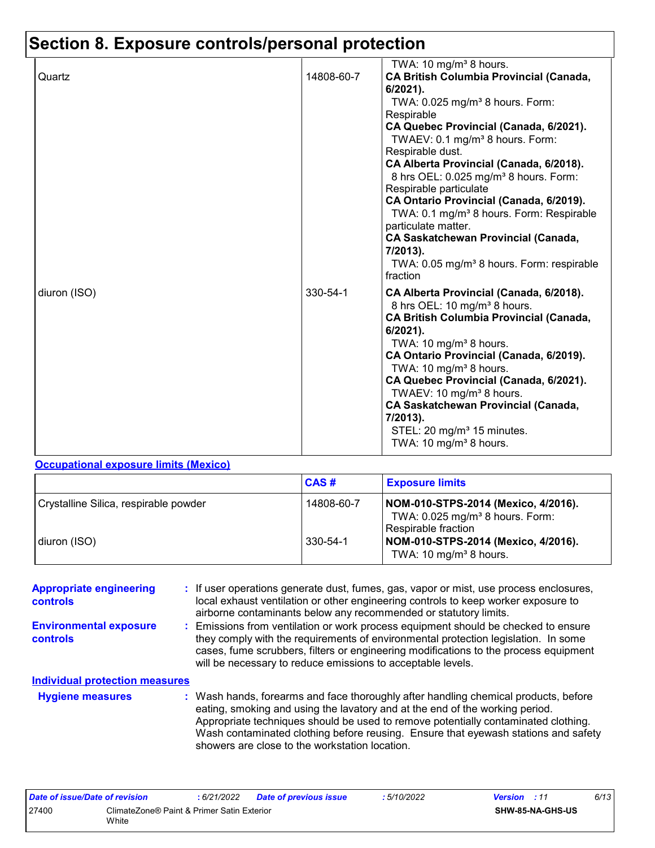# **Section 8. Exposure controls/personal protection**

|              |            | TWA: 10 mg/m <sup>3</sup> 8 hours.                                                                                                                                                                                                                                                                                                                                                                                                                                                                                                                                                                                         |
|--------------|------------|----------------------------------------------------------------------------------------------------------------------------------------------------------------------------------------------------------------------------------------------------------------------------------------------------------------------------------------------------------------------------------------------------------------------------------------------------------------------------------------------------------------------------------------------------------------------------------------------------------------------------|
| Quartz       | 14808-60-7 | <b>CA British Columbia Provincial (Canada,</b><br>$6/2021$ ).<br>TWA: 0.025 mg/m <sup>3</sup> 8 hours. Form:<br>Respirable<br>CA Quebec Provincial (Canada, 6/2021).<br>TWAEV: 0.1 mg/m <sup>3</sup> 8 hours. Form:<br>Respirable dust.<br>CA Alberta Provincial (Canada, 6/2018).<br>8 hrs OEL: 0.025 mg/m <sup>3</sup> 8 hours. Form:<br>Respirable particulate<br>CA Ontario Provincial (Canada, 6/2019).<br>TWA: 0.1 mg/m <sup>3</sup> 8 hours. Form: Respirable<br>particulate matter.<br><b>CA Saskatchewan Provincial (Canada,</b><br>7/2013).<br>TWA: 0.05 mg/m <sup>3</sup> 8 hours. Form: respirable<br>fraction |
| diuron (ISO) | 330-54-1   | CA Alberta Provincial (Canada, 6/2018).<br>8 hrs OEL: 10 mg/m <sup>3</sup> 8 hours.<br><b>CA British Columbia Provincial (Canada,</b><br>$6/2021$ ).<br>TWA: 10 mg/m <sup>3</sup> 8 hours.<br>CA Ontario Provincial (Canada, 6/2019).<br>TWA: 10 mg/m <sup>3</sup> 8 hours.<br>CA Quebec Provincial (Canada, 6/2021).<br>TWAEV: 10 mg/m <sup>3</sup> 8 hours.<br><b>CA Saskatchewan Provincial (Canada,</b><br>7/2013).<br>STEL: 20 mg/m <sup>3</sup> 15 minutes.<br>TWA: 10 mg/m <sup>3</sup> 8 hours.                                                                                                                    |

#### **Occupational exposure limits (Mexico)**

|                                       | CAS#       | <b>Exposure limits</b>                                                                                      |
|---------------------------------------|------------|-------------------------------------------------------------------------------------------------------------|
| Crystalline Silica, respirable powder | 14808-60-7 | NOM-010-STPS-2014 (Mexico, 4/2016).<br>TWA: $0.025$ mg/m <sup>3</sup> 8 hours. Form:<br>Respirable fraction |
| diuron (ISO)                          | 330-54-1   | NOM-010-STPS-2014 (Mexico, 4/2016).<br>TWA: 10 mg/m <sup>3</sup> 8 hours.                                   |

| <b>Appropriate engineering</b><br><b>controls</b> | : If user operations generate dust, fumes, gas, vapor or mist, use process enclosures,<br>local exhaust ventilation or other engineering controls to keep worker exposure to<br>airborne contaminants below any recommended or statutory limits.                                                                                                                                                  |
|---------------------------------------------------|---------------------------------------------------------------------------------------------------------------------------------------------------------------------------------------------------------------------------------------------------------------------------------------------------------------------------------------------------------------------------------------------------|
| <b>Environmental exposure</b><br><b>controls</b>  | : Emissions from ventilation or work process equipment should be checked to ensure<br>they comply with the requirements of environmental protection legislation. In some<br>cases, fume scrubbers, filters or engineering modifications to the process equipment<br>will be necessary to reduce emissions to acceptable levels.                                                                   |
| <b>Individual protection measures</b>             |                                                                                                                                                                                                                                                                                                                                                                                                   |
| <b>Hygiene measures</b>                           | : Wash hands, forearms and face thoroughly after handling chemical products, before<br>eating, smoking and using the lavatory and at the end of the working period.<br>Appropriate techniques should be used to remove potentially contaminated clothing.<br>Wash contaminated clothing before reusing. Ensure that eyewash stations and safety<br>showers are close to the workstation location. |

| Date of issue/Date of revision |                                                     | : 6/21/2022 | <b>Date of previous issue</b> | 5/10/2022 | <b>Version</b> : 11 |                  | 6/13 |
|--------------------------------|-----------------------------------------------------|-------------|-------------------------------|-----------|---------------------|------------------|------|
| 27400                          | ClimateZone® Paint & Primer Satin Exterior<br>White |             |                               |           |                     | SHW-85-NA-GHS-US |      |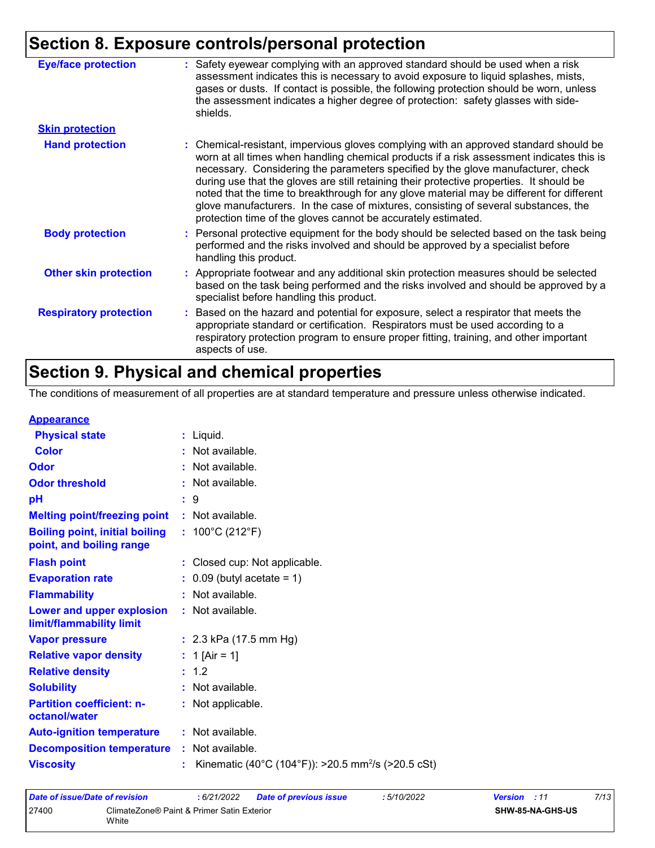## **Section 8. Exposure controls/personal protection**

| <b>Eye/face protection</b>    | : Safety eyewear complying with an approved standard should be used when a risk<br>assessment indicates this is necessary to avoid exposure to liquid splashes, mists,<br>gases or dusts. If contact is possible, the following protection should be worn, unless<br>the assessment indicates a higher degree of protection: safety glasses with side-<br>shields.                                                                                                                                                                                                                                                     |
|-------------------------------|------------------------------------------------------------------------------------------------------------------------------------------------------------------------------------------------------------------------------------------------------------------------------------------------------------------------------------------------------------------------------------------------------------------------------------------------------------------------------------------------------------------------------------------------------------------------------------------------------------------------|
| <b>Skin protection</b>        |                                                                                                                                                                                                                                                                                                                                                                                                                                                                                                                                                                                                                        |
| <b>Hand protection</b>        | : Chemical-resistant, impervious gloves complying with an approved standard should be<br>worn at all times when handling chemical products if a risk assessment indicates this is<br>necessary. Considering the parameters specified by the glove manufacturer, check<br>during use that the gloves are still retaining their protective properties. It should be<br>noted that the time to breakthrough for any glove material may be different for different<br>glove manufacturers. In the case of mixtures, consisting of several substances, the<br>protection time of the gloves cannot be accurately estimated. |
| <b>Body protection</b>        | : Personal protective equipment for the body should be selected based on the task being<br>performed and the risks involved and should be approved by a specialist before<br>handling this product.                                                                                                                                                                                                                                                                                                                                                                                                                    |
| <b>Other skin protection</b>  | : Appropriate footwear and any additional skin protection measures should be selected<br>based on the task being performed and the risks involved and should be approved by a<br>specialist before handling this product.                                                                                                                                                                                                                                                                                                                                                                                              |
| <b>Respiratory protection</b> | Based on the hazard and potential for exposure, select a respirator that meets the<br>appropriate standard or certification. Respirators must be used according to a<br>respiratory protection program to ensure proper fitting, training, and other important<br>aspects of use.                                                                                                                                                                                                                                                                                                                                      |

## **Section 9. Physical and chemical properties**

The conditions of measurement of all properties are at standard temperature and pressure unless otherwise indicated.

#### **Appearance**

| $:$ Liquid.                                                      |
|------------------------------------------------------------------|
| : Not available.                                                 |
| : Not available.                                                 |
| : Not available.                                                 |
| $\mathbf{.}9$                                                    |
| : Not available.                                                 |
| : $100^{\circ}$ C (212 $^{\circ}$ F)                             |
| : Closed cup: Not applicable.                                    |
| $\therefore$ 0.09 (butyl acetate = 1)                            |
| : Not available.                                                 |
| : Not available.                                                 |
| : $2.3$ kPa (17.5 mm Hg)                                         |
| : 1 [Air = 1]                                                    |
| : 1.2                                                            |
| : Not available.                                                 |
| : Not applicable.                                                |
| : Not available.                                                 |
| : Not available.                                                 |
| : Kinematic (40°C (104°F)): >20.5 mm <sup>2</sup> /s (>20.5 cSt) |
| <b>Decomposition temperature</b>                                 |

| Date of issue/Date of revision |                                                     | : 6/21/2022 | Date of previous issue | : 5/10/2022             | <b>Version</b> : 11 | 7/13 |
|--------------------------------|-----------------------------------------------------|-------------|------------------------|-------------------------|---------------------|------|
| 27400                          | ClimateZone® Paint & Primer Satin Exterior<br>White |             |                        | <b>SHW-85-NA-GHS-US</b> |                     |      |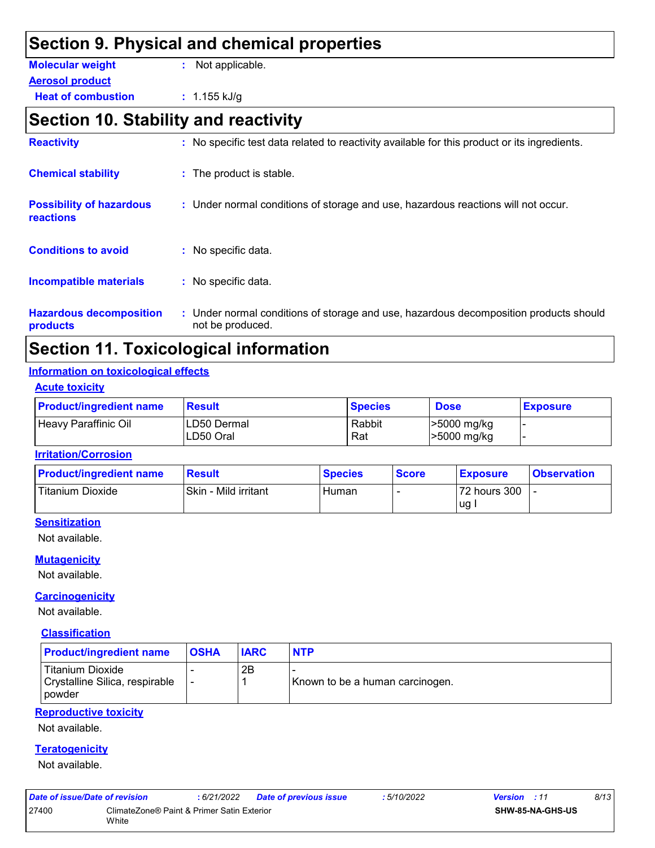### **Section 9. Physical and chemical properties Heat of combustion :** 1.155 kJ/g **Aerosol product Molecular weight :** Not applicable. **Section 10. Stability and reactivity Conditions to avoid Chemical stability The product is stable.** : No specific data. : No specific data. **Incompatible materials : Possibility of hazardous reactions :** Under normal conditions of storage and use, hazardous reactions will not occur. **Reactivity :** No specific test data related to reactivity available for this product or its ingredients.

#### **Hazardous decomposition products** Under normal conditions of storage and use, hazardous decomposition products should **:** not be produced.

## **Section 11. Toxicological information**

#### **Information on toxicological effects**

#### **Acute toxicity**

| <b>Product/ingredient name</b> | <b>Result</b>             | <b>Species</b> | <b>Dose</b>                | <b>Exposure</b> |
|--------------------------------|---------------------------|----------------|----------------------------|-----------------|
| Heavy Paraffinic Oil           | ILD50 Dermal<br>LD50 Oral | Rabbit<br>Rat  | >5000 mg/kg<br>>5000 mg/kg |                 |

#### **Irritation/Corrosion**

| <b>Product/ingredient name</b> | <b>Result</b>        | <b>Species</b> | <b>Score</b> | <u>I Exposure</u> | <b>Observation</b> |
|--------------------------------|----------------------|----------------|--------------|-------------------|--------------------|
| Titanium Dioxide               | Skin - Mild irritant | Human          |              | 72 hours 300      |                    |
|                                |                      |                |              | ∣ug .             |                    |

#### **Sensitization**

Not available.

#### **Mutagenicity**

Not available.

#### **Carcinogenicity**

Not available.

#### **Classification**

| <b>Product/ingredient name</b>                                               | <b>OSHA</b> | <b>IARC</b> | <b>NTP</b>                      |
|------------------------------------------------------------------------------|-------------|-------------|---------------------------------|
| <b>Titanium Dioxide</b><br>Crystalline Silica, respirable<br><b>I</b> powder |             | 2Β          | Known to be a human carcinogen. |

#### **Reproductive toxicity**

Not available.

#### **Teratogenicity**

Not available.

| Date of issue/Date of revision |                                                     | : 6/21/2022 | <b>Date of previous issue</b> | :5/10/2022 | <b>Version</b> : 11     | 8/13 |
|--------------------------------|-----------------------------------------------------|-------------|-------------------------------|------------|-------------------------|------|
| 27400                          | ClimateZone® Paint & Primer Satin Exterior<br>White |             |                               |            | <b>SHW-85-NA-GHS-US</b> |      |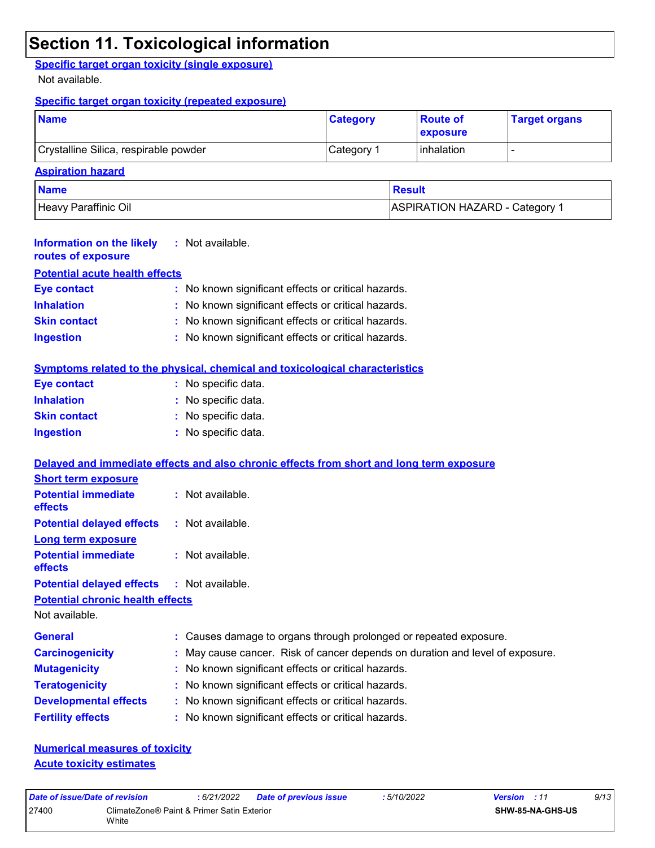## **Section 11. Toxicological information**

**Specific target organ toxicity (single exposure)**

Not available.

#### **Specific target organ toxicity (repeated exposure)**

| <b>Name</b>                           | <b>Category</b> | <b>Route of</b><br><b>exposure</b> | <b>Target organs</b> |
|---------------------------------------|-----------------|------------------------------------|----------------------|
| Crystalline Silica, respirable powder | Category 1      | l inhalation                       |                      |
| <b>Aspiration hazard</b>              |                 |                                    |                      |

| <b>Name</b>          | <b>Result</b>                         |
|----------------------|---------------------------------------|
| Heavy Paraffinic Oil | <b>ASPIRATION HAZARD - Category 1</b> |

| <b>Information on the likely</b><br>routes of exposure | $:$ Not available.                                                                       |  |
|--------------------------------------------------------|------------------------------------------------------------------------------------------|--|
| <b>Potential acute health effects</b>                  |                                                                                          |  |
| <b>Eye contact</b>                                     | : No known significant effects or critical hazards.                                      |  |
| <b>Inhalation</b>                                      | No known significant effects or critical hazards.                                        |  |
| <b>Skin contact</b>                                    | No known significant effects or critical hazards.                                        |  |
| <b>Ingestion</b>                                       | : No known significant effects or critical hazards.                                      |  |
|                                                        | Symptoms related to the physical, chemical and toxicological characteristics             |  |
| <b>Eye contact</b>                                     | : No specific data.                                                                      |  |
| <b>Inhalation</b>                                      | : No specific data.                                                                      |  |
| <b>Skin contact</b>                                    | : No specific data.                                                                      |  |
| <b>Ingestion</b>                                       | : No specific data.                                                                      |  |
|                                                        | Delayed and immediate effects and also chronic effects from short and long term exposure |  |
| <b>Short term exposure</b>                             |                                                                                          |  |
| <b>Potential immediate</b><br><b>effects</b>           | : Not available.                                                                         |  |
| <b>Potential delayed effects</b>                       | : Not available.                                                                         |  |
| <b>Long term exposure</b>                              |                                                                                          |  |
| <b>Potential immediate</b><br><b>effects</b>           | : Not available.                                                                         |  |
| <b>Potential delayed effects</b>                       | : Not available.                                                                         |  |
| <b>Potential chronic health effects</b>                |                                                                                          |  |
| Not available.                                         |                                                                                          |  |
| <b>General</b>                                         | Causes damage to organs through prolonged or repeated exposure.                          |  |
| <b>Carcinogenicity</b>                                 | May cause cancer. Risk of cancer depends on duration and level of exposure.              |  |
| <b>Mutagenicity</b>                                    | No known significant effects or critical hazards.                                        |  |
| <b>Teratogenicity</b>                                  | : No known significant effects or critical hazards.                                      |  |
| <b>Developmental effects</b>                           | : No known significant effects or critical hazards.                                      |  |
| <b>Fertility effects</b>                               | No known significant effects or critical hazards.                                        |  |
|                                                        |                                                                                          |  |

**Numerical measures of toxicity Acute toxicity estimates**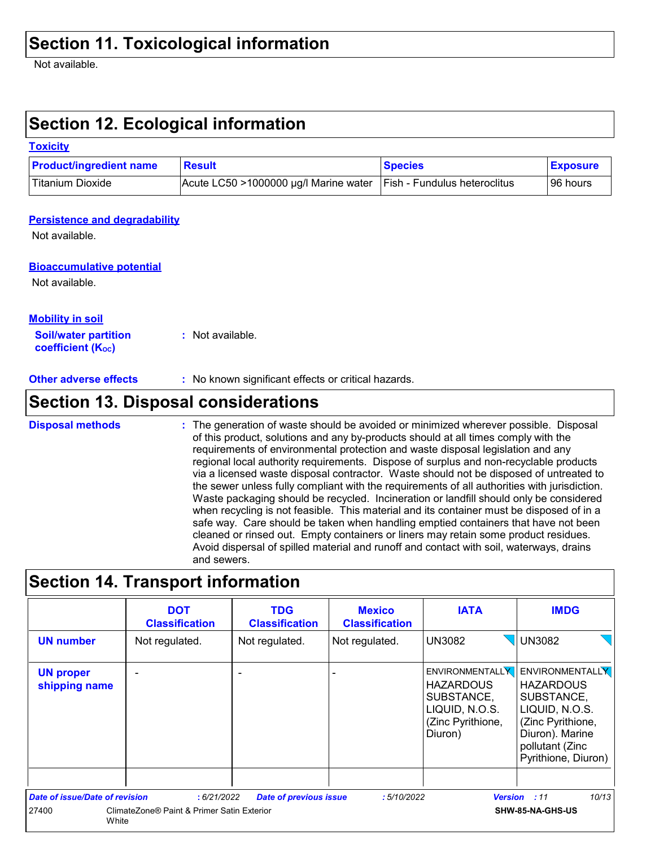Not available.

## **Section 12. Ecological information**

#### **Toxicity**

| <b>Product/ingredient name</b> | Result                                | <b>Species</b>                      | <b>Exposure</b> |
|--------------------------------|---------------------------------------|-------------------------------------|-----------------|
| Titanium Dioxide               | Acute LC50 >1000000 µg/l Marine water | <b>Fish - Fundulus heteroclitus</b> | 96 hours        |

#### **Persistence and degradability**

Not available.

#### **Bioaccumulative potential**

Not available.

#### **Mobility in soil**

**Soil/water partition coefficient (KOC) :** Not available.

**Other adverse effects** : No known significant effects or critical hazards.

## **Section 13. Disposal considerations**

The generation of waste should be avoided or minimized wherever possible. Disposal of this product, solutions and any by-products should at all times comply with the requirements of environmental protection and waste disposal legislation and any regional local authority requirements. Dispose of surplus and non-recyclable products via a licensed waste disposal contractor. Waste should not be disposed of untreated to the sewer unless fully compliant with the requirements of all authorities with jurisdiction. Waste packaging should be recycled. Incineration or landfill should only be considered when recycling is not feasible. This material and its container must be disposed of in a safe way. Care should be taken when handling emptied containers that have not been cleaned or rinsed out. Empty containers or liners may retain some product residues. Avoid dispersal of spilled material and runoff and contact with soil, waterways, drains and sewers. **Disposal methods :**

### **Section 14. Transport information**

|                                       | <b>DOT</b><br><b>Classification</b>        | <b>TDG</b><br><b>Classification</b> | <b>Mexico</b><br><b>Classification</b> | <b>IATA</b>                                                                                                | <b>IMDG</b>                                                                                                                                                  |
|---------------------------------------|--------------------------------------------|-------------------------------------|----------------------------------------|------------------------------------------------------------------------------------------------------------|--------------------------------------------------------------------------------------------------------------------------------------------------------------|
| <b>UN number</b>                      | Not regulated.                             | Not regulated.                      | Not regulated.                         | <b>UN3082</b>                                                                                              | <b>UN3082</b>                                                                                                                                                |
| <b>UN proper</b><br>shipping name     | -                                          |                                     |                                        | <b>ENVIRONMENTALLY</b><br><b>HAZARDOUS</b><br>SUBSTANCE,<br>LIQUID, N.O.S.<br>(Zinc Pyrithione,<br>Diuron) | <b>ENVIRONMENTALLY</b><br><b>HAZARDOUS</b><br>SUBSTANCE,<br>LIQUID, N.O.S.<br>(Zinc Pyrithione,<br>Diuron). Marine<br>pollutant (Zinc<br>Pyrithione, Diuron) |
| <b>Date of issue/Date of revision</b> | :6/21/2022                                 | <b>Date of previous issue</b>       | :5/10/2022                             |                                                                                                            | 10/13<br><b>Version</b> : 11                                                                                                                                 |
| 27400<br>White                        | ClimateZone® Paint & Primer Satin Exterior |                                     |                                        |                                                                                                            | SHW-85-NA-GHS-US                                                                                                                                             |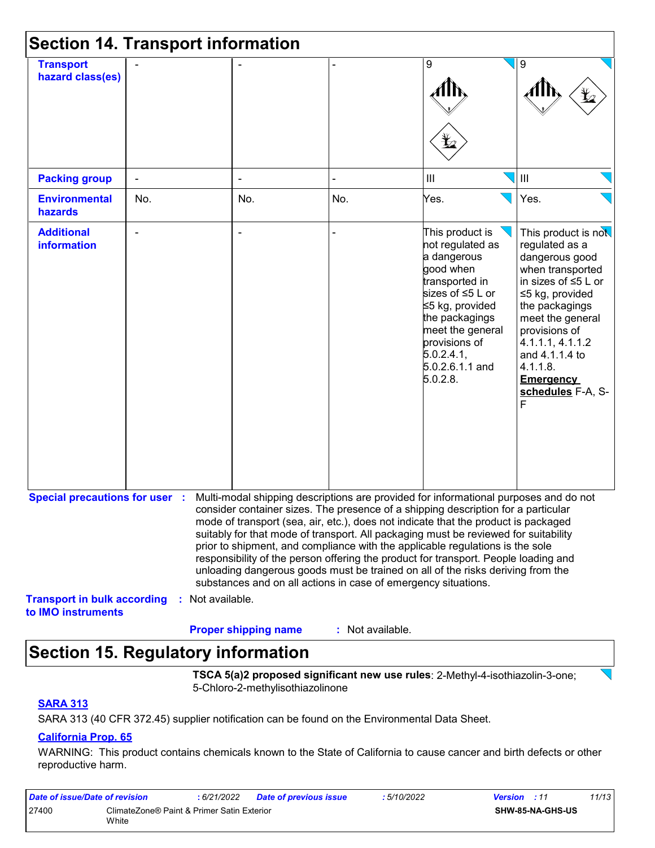| <b>Section 14. Transport information</b>                 |     |                  |                             |                                                                |                                                                                                                                                                                                                                                                                                                                                                                                                                                                                                                                                                                                                   |                                                                                                                                                                                                                                                                              |  |  |
|----------------------------------------------------------|-----|------------------|-----------------------------|----------------------------------------------------------------|-------------------------------------------------------------------------------------------------------------------------------------------------------------------------------------------------------------------------------------------------------------------------------------------------------------------------------------------------------------------------------------------------------------------------------------------------------------------------------------------------------------------------------------------------------------------------------------------------------------------|------------------------------------------------------------------------------------------------------------------------------------------------------------------------------------------------------------------------------------------------------------------------------|--|--|
| <b>Transport</b><br>hazard class(es)                     |     |                  |                             |                                                                | 9<br>Ľ.                                                                                                                                                                                                                                                                                                                                                                                                                                                                                                                                                                                                           | 9                                                                                                                                                                                                                                                                            |  |  |
| <b>Packing group</b>                                     |     |                  |                             |                                                                | $\mathbf{III}$                                                                                                                                                                                                                                                                                                                                                                                                                                                                                                                                                                                                    | Ш                                                                                                                                                                                                                                                                            |  |  |
| <b>Environmental</b><br>hazards                          | No. |                  | No.                         | No.                                                            | Yes.                                                                                                                                                                                                                                                                                                                                                                                                                                                                                                                                                                                                              | Yes.                                                                                                                                                                                                                                                                         |  |  |
| <b>Additional</b><br><b>information</b>                  |     |                  | $\blacksquare$              |                                                                | This product is<br>not regulated as<br>a dangerous<br>good when<br>transported in<br>sizes of ≤5 L or<br>≤5 kg, provided<br>the packagings<br>meet the general<br>provisions of<br>5.0.2.4.1,<br>5.0.2.6.1.1 and<br>5.0.2.8.                                                                                                                                                                                                                                                                                                                                                                                      | This product is not<br>regulated as a<br>dangerous good<br>when transported<br>in sizes of ≤5 L or<br>≤5 kg, provided<br>the packagings<br>meet the general<br>provisions of<br>4.1.1.1, 4.1.1.2<br>and 4.1.1.4 to<br>4.1.1.8.<br><b>Emergency</b><br>schedules F-A, S-<br>F |  |  |
| <b>Special precautions for user :</b>                    |     |                  |                             | substances and on all actions in case of emergency situations. | Multi-modal shipping descriptions are provided for informational purposes and do not<br>consider container sizes. The presence of a shipping description for a particular<br>mode of transport (sea, air, etc.), does not indicate that the product is packaged<br>suitably for that mode of transport. All packaging must be reviewed for suitability<br>prior to shipment, and compliance with the applicable regulations is the sole<br>responsibility of the person offering the product for transport. People loading and<br>unloading dangerous goods must be trained on all of the risks deriving from the |                                                                                                                                                                                                                                                                              |  |  |
| <b>Transport in bulk according</b><br>to IMO instruments |     | : Not available. | <b>Proper shipping name</b> | : Not available.                                               |                                                                                                                                                                                                                                                                                                                                                                                                                                                                                                                                                                                                                   |                                                                                                                                                                                                                                                                              |  |  |

## **Section 15. Regulatory information**

**TSCA 5(a)2 proposed significant new use rules**: 2-Methyl-4-isothiazolin-3-one; 5-Chloro-2-methylisothiazolinone

#### **SARA 313**

SARA 313 (40 CFR 372.45) supplier notification can be found on the Environmental Data Sheet.

#### **California Prop. 65**

WARNING: This product contains chemicals known to the State of California to cause cancer and birth defects or other reproductive harm.

| Date of issue/Date of revision |                                                     | : 6/21/2022 | <b>Date of previous issue</b> | : 5/10/2022 | <b>Version</b> : 11 |                  | 11/13 |
|--------------------------------|-----------------------------------------------------|-------------|-------------------------------|-------------|---------------------|------------------|-------|
| 27400                          | ClimateZone® Paint & Primer Satin Exterior<br>White |             |                               |             |                     | SHW-85-NA-GHS-US |       |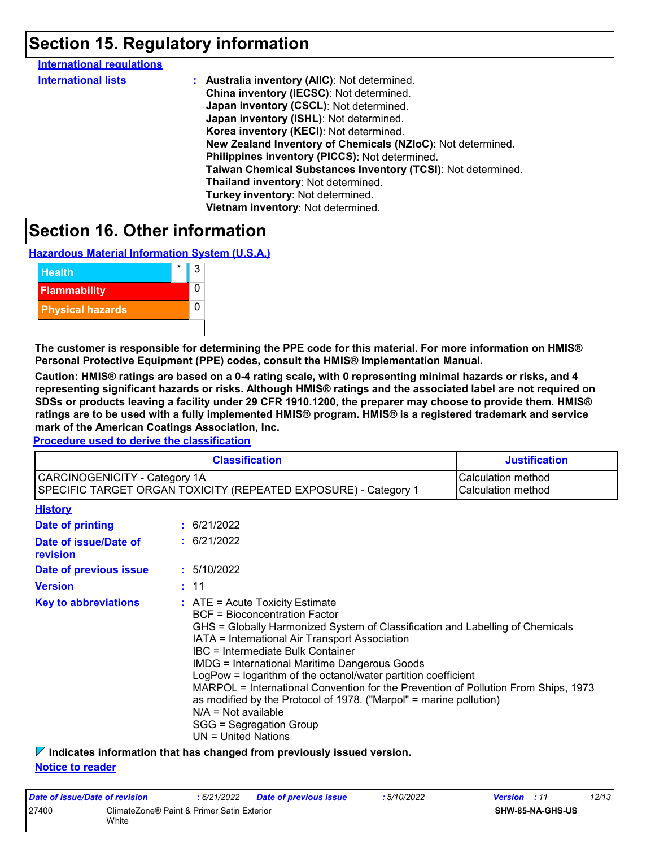## **Section 15. Regulatory information**

| <b>International regulations</b> |                                                              |
|----------------------------------|--------------------------------------------------------------|
| <b>International lists</b>       | : Australia inventory (AIIC): Not determined.                |
|                                  | China inventory (IECSC): Not determined.                     |
|                                  | Japan inventory (CSCL): Not determined.                      |
|                                  | Japan inventory (ISHL): Not determined.                      |
|                                  | Korea inventory (KECI): Not determined.                      |
|                                  | New Zealand Inventory of Chemicals (NZIoC): Not determined.  |
|                                  | Philippines inventory (PICCS): Not determined.               |
|                                  | Taiwan Chemical Substances Inventory (TCSI): Not determined. |
|                                  | Thailand inventory: Not determined.                          |
|                                  | Turkey inventory: Not determined.                            |
|                                  | Vietnam inventory: Not determined.                           |
|                                  |                                                              |

## **Section 16. Other information**

**Hazardous Material Information System (U.S.A.)**



**The customer is responsible for determining the PPE code for this material. For more information on HMIS® Personal Protective Equipment (PPE) codes, consult the HMIS® Implementation Manual.**

**Caution: HMIS® ratings are based on a 0-4 rating scale, with 0 representing minimal hazards or risks, and 4 representing significant hazards or risks. Although HMIS® ratings and the associated label are not required on SDSs or products leaving a facility under 29 CFR 1910.1200, the preparer may choose to provide them. HMIS® ratings are to be used with a fully implemented HMIS® program. HMIS® is a registered trademark and service mark of the American Coatings Association, Inc.**

**Procedure used to derive the classification**

|                                   |                                                                                                                                                                                                                                                                                                                                                                                                                                                                                                                                                                                                                          | <b>Classification</b>                                           | <b>Justification</b>                     |  |  |
|-----------------------------------|--------------------------------------------------------------------------------------------------------------------------------------------------------------------------------------------------------------------------------------------------------------------------------------------------------------------------------------------------------------------------------------------------------------------------------------------------------------------------------------------------------------------------------------------------------------------------------------------------------------------------|-----------------------------------------------------------------|------------------------------------------|--|--|
| CARCINOGENICITY - Category 1A     |                                                                                                                                                                                                                                                                                                                                                                                                                                                                                                                                                                                                                          | SPECIFIC TARGET ORGAN TOXICITY (REPEATED EXPOSURE) - Category 1 | Calculation method<br>Calculation method |  |  |
| <b>History</b>                    |                                                                                                                                                                                                                                                                                                                                                                                                                                                                                                                                                                                                                          |                                                                 |                                          |  |  |
| <b>Date of printing</b>           |                                                                                                                                                                                                                                                                                                                                                                                                                                                                                                                                                                                                                          | : 6/21/2022                                                     |                                          |  |  |
| Date of issue/Date of<br>revision |                                                                                                                                                                                                                                                                                                                                                                                                                                                                                                                                                                                                                          | : 6/21/2022                                                     |                                          |  |  |
| Date of previous issue            |                                                                                                                                                                                                                                                                                                                                                                                                                                                                                                                                                                                                                          | : 5/10/2022                                                     |                                          |  |  |
| <b>Version</b>                    |                                                                                                                                                                                                                                                                                                                                                                                                                                                                                                                                                                                                                          | : 11                                                            |                                          |  |  |
| <b>Key to abbreviations</b>       | : ATE = Acute Toxicity Estimate<br><b>BCF</b> = Bioconcentration Factor<br>GHS = Globally Harmonized System of Classification and Labelling of Chemicals<br>IATA = International Air Transport Association<br><b>IBC</b> = Intermediate Bulk Container<br><b>IMDG</b> = International Maritime Dangerous Goods<br>LogPow = logarithm of the octanol/water partition coefficient<br>MARPOL = International Convention for the Prevention of Pollution From Ships, 1973<br>as modified by the Protocol of 1978. ("Marpol" = marine pollution)<br>$N/A = Not available$<br>SGG = Segregation Group<br>$UN = United Nations$ |                                                                 |                                          |  |  |

**Indicates information that has changed from previously issued version. Notice to reader**

| Date of issue/Date of revision |                                                     | :6/21/2022 | <b>Date of previous issue</b> | :5/10/2022 | <b>Version</b> : 11 |                         | 12/13 |
|--------------------------------|-----------------------------------------------------|------------|-------------------------------|------------|---------------------|-------------------------|-------|
| 27400                          | ClimateZone® Paint & Primer Satin Exterior<br>White |            |                               |            |                     | <b>SHW-85-NA-GHS-US</b> |       |